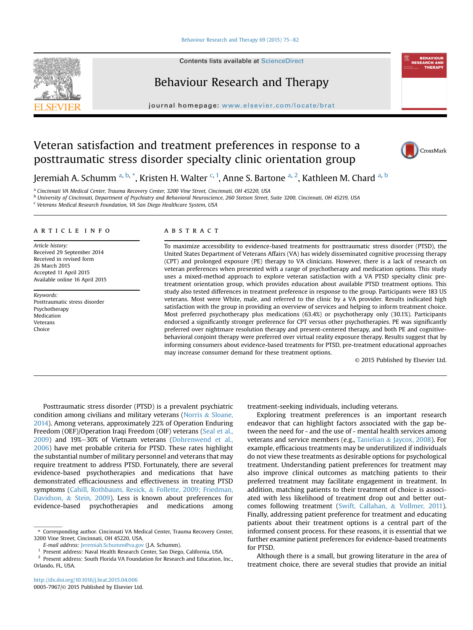#### [Behaviour Research and Therapy 69 \(2015\) 75](http://dx.doi.org/10.1016/j.brat.2015.04.006)-[82](http://dx.doi.org/10.1016/j.brat.2015.04.006)



Contents lists available at ScienceDirect

## Behaviour Research and Therapy

journal homepage: [www.elsevier.com/locate/brat](http://www.elsevier.com/locate/brat)

# Veteran satisfaction and treatment preferences in response to a posttraumatic stress disorder specialty clinic orientation group



Jeremiah A. Schumm <sup>a, b,</sup> \*, Kristen H. Walter <sup>c, 1</sup>, Anne S. Bartone <sup>a, 2</sup>, Kathleen M. Chard <sup>a, b</sup>

<sup>a</sup> Cincinnati VA Medical Center, Trauma Recovery Center, 3200 Vine Street, Cincinnati, OH 45220, USA

<sup>b</sup> University of Cincinnati, Department of Psychiatry and Behavioral Neuroscience, 260 Stetson Street, Suite 3200, Cincinnati, OH 45219, USA

<sup>c</sup> Veterans Medical Research Foundation, VA San Diego Healthcare System, USA

#### article info

Article history: Received 29 September 2014 Received in revised form 26 March 2015 Accepted 11 April 2015 Available online 16 April 2015

Keywords: Posttraumatic stress disorder Psychotherapy Medication Veterans Choice

## **ABSTRACT**

To maximize accessibility to evidence-based treatments for posttraumatic stress disorder (PTSD), the United States Department of Veterans Affairs (VA) has widely disseminated cognitive processing therapy (CPT) and prolonged exposure (PE) therapy to VA clinicians. However, there is a lack of research on veteran preferences when presented with a range of psychotherapy and medication options. This study uses a mixed-method approach to explore veteran satisfaction with a VA PTSD specialty clinic pretreatment orientation group, which provides education about available PTSD treatment options. This study also tested differences in treatment preference in response to the group. Participants were 183 US veterans. Most were White, male, and referred to the clinic by a VA provider. Results indicated high satisfaction with the group in providing an overview of services and helping to inform treatment choice. Most preferred psychotherapy plus medications (63.4%) or psychotherapy only (30.1%). Participants endorsed a significantly stronger preference for CPT versus other psychotherapies. PE was significantly preferred over nightmare resolution therapy and present-centered therapy, and both PE and cognitivebehavioral conjoint therapy were preferred over virtual reality exposure therapy. Results suggest that by informing consumers about evidence-based treatments for PTSD, pre-treatment educational approaches may increase consumer demand for these treatment options.

© 2015 Published by Elsevier Ltd.

Posttraumatic stress disorder (PTSD) is a prevalent psychiatric condition among civilians and military veterans [\(Norris](#page-6-0) & [Sloane,](#page-6-0) [2014\)](#page-6-0). Among veterans, approximately 22% of Operation Enduring Freedom (OEF)/Operation Iraqi Freedom (OIF) veterans ([Seal et al.,](#page-7-0) [2009\)](#page-7-0) and 19%-30% of Vietnam veterans [\(Dohrenwend et al.,](#page-6-0) [2006\)](#page-6-0) have met probable criteria for PTSD. These rates highlight the substantial number of military personnel and veterans that may require treatment to address PTSD. Fortunately, there are several evidence-based psychotherapies and medications that have demonstrated efficaciousness and effectiveness in treating PTSD symptoms [\(Cahill, Rothbaum, Resick,](#page-6-0) & [Follette, 2009; Friedman,](#page-6-0) [Davidson,](#page-6-0) & [Stein, 2009\)](#page-6-0). Less is known about preferences for evidence-based psychotherapies and medications among

E-mail address: [Jeremiah.Schumm@va.gov](mailto:Jeremiah.Schumm@va.gov) (J.A. Schumm).

treatment-seeking individuals, including veterans.

Exploring treatment preferences is an important research endeavor that can highlight factors associated with the gap between the need for - and the use of - mental health services among veterans and service members (e.g., [Tanielian](#page-7-0) & [Jaycox, 2008](#page-7-0)). For example, efficacious treatments may be underutilized if individuals do not view these treatments as desirable options for psychological treatment. Understanding patient preferences for treatment may also improve clinical outcomes as matching patients to their preferred treatment may facilitate engagement in treatment. In addition, matching patients to their treatment of choice is associated with less likelihood of treatment drop out and better outcomes following treatment ([Swift, Callahan,](#page-7-0) & [Vollmer, 2011\)](#page-7-0). Finally, addressing patient preference for treatment and educating patients about their treatment options is a central part of the informed consent process. For these reasons, it is essential that we further examine patient preferences for evidence-based treatments for PTSD.

Although there is a small, but growing literature in the area of treatment choice, there are several studies that provide an initial

<sup>\*</sup> Corresponding author. Cincinnati VA Medical Center, Trauma Recovery Center, 3200 Vine Street, Cincinnati, OH 45220, USA.

Present address: Naval Health Research Center, San Diego, California, USA.

Present address: South Florida VA Foundation for Research and Education, Inc., Orlando, FL, USA.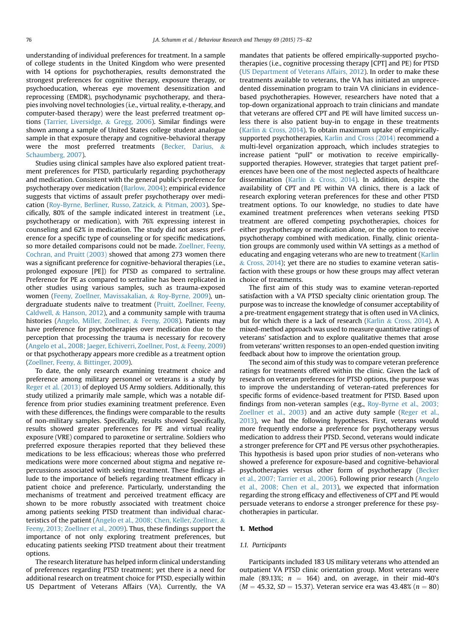understanding of individual preferences for treatment. In a sample of college students in the United Kingdom who were presented with 14 options for psychotherapies, results demonstrated the strongest preferences for cognitive therapy, exposure therapy, or psychoeducation, whereas eye movement desensitization and reprocessing (EMDR), psychodynamic psychotherapy, and therapies involving novel technologies (i.e., virtual reality, e-therapy, and computer-based therapy) were the least preferred treatment options ([Tarrier, Liversidge,](#page-7-0) & [Gregg, 2006\)](#page-7-0). Similar findings were shown among a sample of United States college student analogue sample in that exposure therapy and cognitive-behavioral therapy were the most preferred treatments ([Becker, Darius,](#page-6-0) & [Schaumberg, 2007](#page-6-0)).

Studies using clinical samples have also explored patient treatment preferences for PTSD, particularly regarding psychotherapy and medication. Consistent with the general public's preference for psychotherapy over medication ([Barlow, 2004](#page-6-0)); empirical evidence suggests that victims of assault prefer psychotherapy over medication ([Roy-Byrne, Berliner, Russo, Zatzick,](#page-7-0) & [Pitman, 2003](#page-7-0)). Specifically, 80% of the sample indicated interest in treatment (i.e., psychotherapy or medication), with 76% expressing interest in counseling and 62% in medication. The study did not assess preference for a specific type of counseling or for specific medications, so more detailed comparisons could not be made. [Zoellner, Feeny,](#page-7-0) [Cochran, and Pruitt \(2003\)](#page-7-0) showed that among 273 women there was a significant preference for cognitive-behavioral therapies (i.e., prolonged exposure [PE]) for PTSD as compared to sertraline. Preference for PE as compared to sertraline has been replicated in other studies using various samples, such as trauma-exposed women ([Feeny, Zoellner, Mavissakalian,](#page-6-0) & [Roy-Byrne, 2009](#page-6-0)), undergraduate students naïve to treatment [\(Pruitt, Zoellner, Feeny,](#page-7-0) [Caldwell,](#page-7-0) & [Hanson, 2012](#page-7-0)), and a community sample with trauma histories [\(Angelo, Miller, Zoellner,](#page-6-0) & [Feeny, 2008\)](#page-6-0). Patients may have preference for psychotherapies over medication due to the perception that processing the trauma is necessary for recovery ([Angelo et al., 2008; Jaeger, Echiverri, Zoellner, Post,](#page-6-0) & [Feeny, 2009\)](#page-6-0) or that psychotherapy appears more credible as a treatment option ([Zoellner, Feeny,](#page-7-0) & [Bittinger, 2009\)](#page-7-0).

To date, the only research examining treatment choice and preference among military personnel or veterans is a study by [Reger et al. \(2013\)](#page-7-0) of deployed US Army soldiers. Additionally, this study utilized a primarily male sample, which was a notable difference from prior studies examining treatment preference. Even with these differences, the findings were comparable to the results of non-military samples. Specifically, results showed Specifically, results showed greater preferences for PE and virtual reality exposure (VRE) compared to paroxetine or sertraline. Soldiers who preferred exposure therapies reported that they believed these medications to be less efficacious; whereas those who preferred medications were more concerned about stigma and negative repercussions associated with seeking treatment. These findings allude to the importance of beliefs regarding treatment efficacy in patient choice and preference. Particularly, understanding the mechanisms of treatment and perceived treatment efficacy are shown to be more robustly associated with treatment choice among patients seeking PTSD treatment than individual characteristics of the patient [\(Angelo et al., 2008; Chen, Keller, Zoellner,](#page-6-0) & [Feeny, 2013; Zoellner et al., 2009\)](#page-6-0). Thus, these findings support the importance of not only exploring treatment preferences, but educating patients seeking PTSD treatment about their treatment options.

The research literature has helped inform clinical understanding of preferences regarding PTSD treatment; yet there is a need for additional research on treatment choice for PTSD, especially within US Department of Veterans Affairs (VA). Currently, the VA mandates that patients be offered empirically-supported psychotherapies (i.e., cognitive processing therapy [CPT] and PE) for PTSD ([US Department of Veterans Affairs, 2012\)](#page-7-0). In order to make these treatments available to veterans, the VA has initiated an unprecedented dissemination program to train VA clinicians in evidencebased psychotherapies. However, researchers have noted that a top-down organizational approach to train clinicians and mandate that veterans are offered CPT and PE will have limited success unless there is also patient buy-in to engage in these treatments ([Karlin](#page-6-0) & [Cross, 2014\)](#page-6-0). To obtain maximum uptake of empirically-supported psychotherapies, [Karlin and Cross \(2014\)](#page-6-0) recommend a multi-level organization approach, which includes strategies to increase patient "pull" or motivation to receive empiricallysupported therapies. However, strategies that target patient preferences have been one of the most neglected aspects of healthcare dissemination [\(Karlin](#page-6-0) & [Cross, 2014](#page-6-0)). In addition, despite the availability of CPT and PE within VA clinics, there is a lack of research exploring veteran preferences for these and other PTSD treatment options. To our knowledge, no studies to date have examined treatment preferences when veterans seeking PTSD treatment are offered competing psychotherapies, choices for either psychotherapy or medication alone, or the option to receive psychotherapy combined with medication. Finally, clinic orientation groups are commonly used within VA settings as a method of educating and engaging veterans who are new to treatment [\(Karlin](#page-6-0) & [Cross, 2014\)](#page-6-0); yet there are no studies to examine veteran satisfaction with these groups or how these groups may affect veteran choice of treatments.

The first aim of this study was to examine veteran-reported satisfaction with a VA PTSD specialty clinic orientation group. The purpose was to increase the knowledge of consumer acceptability of a pre-treatment engagement strategy that is often used in VA clinics, but for which there is a lack of research [\(Karlin](#page-6-0) & [Cross, 2014](#page-6-0)). A mixed-method approach was used to measure quantitative ratings of veterans' satisfaction and to explore qualitative themes that arose from veterans' written responses to an open-ended question inviting feedback about how to improve the orientation group.

The second aim of this study was to compare veteran preference ratings for treatments offered within the clinic. Given the lack of research on veteran preferences for PTSD options, the purpose was to improve the understanding of veteran-rated preferences for specific forms of evidence-based treatment for PTSD. Based upon findings from non-veteran samples (e.g., [Roy-Byrne et al., 2003;](#page-7-0) [Zoellner et al., 2003\)](#page-7-0) and an active duty sample [\(Reger et al.,](#page-7-0) [2013\)](#page-7-0), we had the following hypotheses. First, veterans would more frequently endorse a preference for psychotherapy versus medication to address their PTSD. Second, veterans would indicate a stronger preference for CPT and PE versus other psychotherapies. This hypothesis is based upon prior studies of non-veterans who showed a preference for exposure-based and cognitive-behavioral psychotherapies versus other form of psychotherapy ([Becker](#page-6-0) [et al., 2007; Tarrier et al., 2006](#page-6-0)). Following prior research ([Angelo](#page-6-0) [et al., 2008; Chen et al., 2013](#page-6-0)), we expected that information regarding the strong efficacy and effectiveness of CPT and PE would persuade veterans to endorse a stronger preference for these psychotherapies in particular.

#### 1. Method

#### 1.1. Participants

Participants included 183 US military veterans who attended an outpatient VA PTSD clinic orientation group. Most veterans were male (89.13%;  $n = 164$ ) and, on average, in their mid-40's  $(M = 45.32, SD = 15.37)$ . Veteran service era was 43.48% ( $n = 80$ )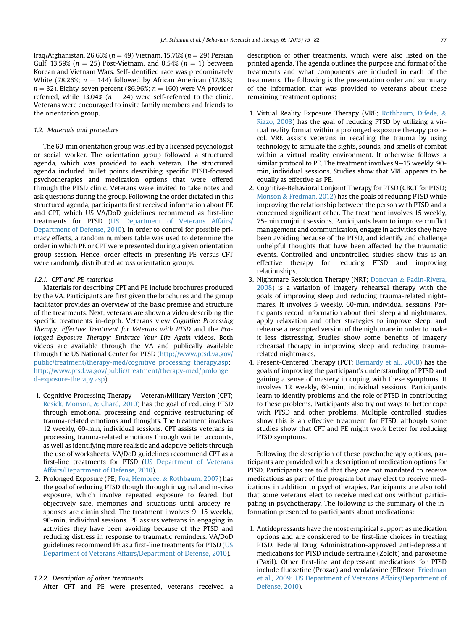Iraq/Afghanistan, 26.63% ( $n = 49$ ) Vietnam, 15.76% ( $n = 29$ ) Persian Gulf, 13.59% ( $n = 25$ ) Post-Vietnam, and 0.54% ( $n = 1$ ) between Korean and Vietnam Wars. Self-identified race was predominately White (78.26%;  $n = 144$ ) followed by African American (17.39%;  $n = 32$ ). Eighty-seven percent (86.96%;  $n = 160$ ) were VA provider referred, while 13.04% ( $n = 24$ ) were self-referred to the clinic. Veterans were encouraged to invite family members and friends to the orientation group.

#### 1.2. Materials and procedure

The 60-min orientation group was led by a licensed psychologist or social worker. The orientation group followed a structured agenda, which was provided to each veteran. The structured agenda included bullet points describing specific PTSD-focused psychotherapies and medication options that were offered through the PTSD clinic. Veterans were invited to take notes and ask questions during the group. Following the order dictated in this structured agenda, participants first received information about PE and CPT, which US VA/DoD guidelines recommend as first-line treatments for PTSD ([US Department of Veterans Affairs/](#page-7-0) [Department of Defense, 2010](#page-7-0)). In order to control for possible primacy effects, a random numbers table was used to determine the order in which PE or CPT were presented during a given orientation group session. Hence, order effects in presenting PE versus CPT were randomly distributed across orientation groups.

## 1.2.1. CPT and PE materials

Materials for describing CPT and PE include brochures produced by the VA. Participants are first given the brochures and the group facilitator provides an overview of the basic premise and structure of the treatments. Next, veterans are shown a video describing the specific treatments in-depth. Veterans view Cognitive Processing Therapy: Effective Treatment for Veterans with PTSD and the Prolonged Exposure Therapy: Embrace Your Life Again videos. Both videos are available through the VA and publically available through the US National Center for PTSD [\(http://www.ptsd.va.gov/](http://www.ptsd.va.gov/public/treatment/therapy-med/cognitive_processing_therapy.asp) [public/treatment/therapy-med/cognitive\\_processing\\_therapy.asp;](http://www.ptsd.va.gov/public/treatment/therapy-med/cognitive_processing_therapy.asp) [http://www.ptsd.va.gov/public/treatment/therapy-med/prolonge](http://www.ptsd.va.gov/public/treatment/therapy-med/prolonged-exposure-therapy.asp) [d-exposure-therapy.asp\)](http://www.ptsd.va.gov/public/treatment/therapy-med/prolonged-exposure-therapy.asp).

- 1. Cognitive Processing Therapy Veteran/Military Version (CPT; [Resick, Monson,](#page-7-0) & [Chard, 2010\)](#page-7-0) has the goal of reducing PTSD through emotional processing and cognitive restructuring of trauma-related emotions and thoughts. The treatment involves 12 weekly, 60-min, individual sessions. CPT assists veterans in processing trauma-related emotions through written accounts, as well as identifying more realistic and adaptive beliefs through the use of worksheets. VA/DoD guidelines recommend CPT as a first-line treatments for PTSD [\(US Department of Veterans](#page-7-0) [Affairs/Department of Defense, 2010](#page-7-0)).
- 2. Prolonged Exposure (PE; [Foa, Hembree,](#page-6-0) & [Rothbaum, 2007\)](#page-6-0) has the goal of reducing PTSD though through imaginal and in-vivo exposure, which involve repeated exposure to feared, but objectively safe, memories and situations until anxiety responses are diminished. The treatment involves 9-15 weekly, 90-min, individual sessions. PE assists veterans in engaging in activities they have been avoiding because of the PTSD and reducing distress in response to traumatic reminders. VA/DoD guidelines recommend PE as a first-line treatments for PTSD [\(US](#page-7-0) [Department of Veterans Affairs/Department of Defense, 2010\)](#page-7-0).
- 1.2.2. Description of other treatments

After CPT and PE were presented, veterans received a

description of other treatments, which were also listed on the printed agenda. The agenda outlines the purpose and format of the treatments and what components are included in each of the treatments. The following is the presentation order and summary of the information that was provided to veterans about these remaining treatment options:

- 1. Virtual Reality Exposure Therapy (VRE; [Rothbaum, Difede,](#page-7-0)  $\&$ [Rizzo, 2008](#page-7-0)) has the goal of reducing PTSD by utilizing a virtual reality format within a prolonged exposure therapy protocol. VRE assists veterans in recalling the trauma by using technology to simulate the sights, sounds, and smells of combat within a virtual reality environment. It otherwise follows a similar protocol to PE. The treatment involves 9–15 weekly, 90min, individual sessions. Studies show that VRE appears to be equally as effective as PE.
- 2. Cognitive-Behavioral Conjoint Therapy for PTSD (CBCT for PTSD; [Monson](#page-6-0) & [Fredman, 2012\)](#page-6-0) has the goals of reducing PTSD while improving the relationship between the person with PTSD and a concerned significant other. The treatment involves 15 weekly, 75-min conjoint sessions. Participants learn to improve conflict management and communication, engage in activities they have been avoiding because of the PTSD, and identify and challenge unhelpful thoughts that have been affected by the traumatic events. Controlled and uncontrolled studies show this is an effective therapy for reducing PTSD and improving relationships.
- 3. Nightmare Resolution Therapy (NRT; [Donovan](#page-6-0) & [Padin-Rivera,](#page-6-0) [2008\)](#page-6-0) is a variation of imagery rehearsal therapy with the goals of improving sleep and reducing trauma-related nightmares. It involves 5 weekly, 60-min, individual sessions. Participants record information about their sleep and nightmares, apply relaxation and other strategies to improve sleep, and rehearse a rescripted version of the nightmare in order to make it less distressing. Studies show some benefits of imagery rehearsal therapy in improving sleep and reducing traumarelated nightmares.
- 4. Present-Centered Therapy (PCT; [Bernardy et al., 2008](#page-6-0)) has the goals of improving the participant's understanding of PTSD and gaining a sense of mastery in coping with these symptoms. It involves 12 weekly, 60-min, individual sessions. Participants learn to identify problems and the role of PTSD in contributing to these problems. Participants also try out ways to better cope with PTSD and other problems. Multiple controlled studies show this is an effective treatment for PTSD, although some studies show that CPT and PE might work better for reducing PTSD symptoms.

Following the description of these psychotherapy options, participants are provided with a description of medication options for PTSD. Participants are told that they are not mandated to receive medications as part of the program but may elect to receive medications in addition to psychotherapies. Participants are also told that some veterans elect to receive medications without participating in psychotherapy. The following is the summary of the information presented to participants about medications:

1. Antidepressants have the most empirical support as medication options and are considered to be first-line choices in treating PTSD. Federal Drug Administration-approved anti-depressant medications for PTSD include sertraline (Zoloft) and paroxetine (Paxil). Other first-line antidepressant medications for PTSD include fluoxetine (Prozac) and venlafaxine (Effexor; [Friedman](#page-6-0) [et al., 2009; US Department of Veterans Affairs/Department of](#page-6-0) [Defense, 2010](#page-6-0)).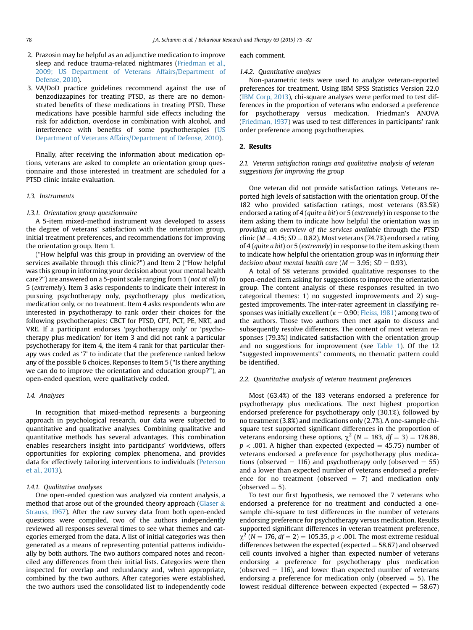- 2. Prazosin may be helpful as an adjunctive medication to improve sleep and reduce trauma-related nightmares ([Friedman et al.,](#page-6-0) [2009; US Department of Veterans Affairs/Department of](#page-6-0) [Defense, 2010](#page-6-0)).
- 3. VA/DoD practice guidelines recommend against the use of benzodiazapines for treating PTSD, as there are no demonstrated benefits of these medications in treating PTSD. These medications have possible harmful side effects including the risk for addiction, overdose in combination with alcohol, and interference with benefits of some psychotherapies ([US](#page-7-0) [Department of Veterans Affairs/Department of Defense, 2010\)](#page-7-0).

Finally, after receiving the information about medication options, veterans are asked to complete an orientation group questionnaire and those interested in treatment are scheduled for a PTSD clinic intake evaluation.

## 1.3. Instruments

## 1.3.1. Orientation group questionnaire

A 5-item mixed-method instrument was developed to assess the degree of veterans' satisfaction with the orientation group, initial treatment preferences, and recommendations for improving the orientation group. Item 1.

("How helpful was this group in providing an overview of the services available through this clinic?") and Item 2 ("How helpful was this group in informing your decision about your mental health care?") are answered on a 5-point scale ranging from 1 (not at all) to 5 (extremely). Item 3 asks respondents to indicate their interest in pursuing psychotherapy only, psychotherapy plus medication, medication only, or no treatment. Item 4 asks respondents who are interested in psychotherapy to rank order their choices for the following psychotherapies: CBCT for PTSD, CPT, PCT, PE, NRT, and VRE. If a participant endorses 'psychotherapy only' or 'psychotherapy plus medication' for item 3 and did not rank a particular psychotherapy for item 4, the item 4 rank for that particular therapy was coded as '7' to indicate that the preference ranked below any of the possible 6 choices. Reponses to Item 5 ("Is there anything we can do to improve the orientation and education group?"), an open-ended question, were qualitatively coded.

## 1.4. Analyses

In recognition that mixed-method represents a burgeoning approach in psychological research, our data were subjected to quantitative and qualitative analyses. Combining qualitative and quantitative methods has several advantages. This combination enables researchers insight into participants' worldviews, offers opportunities for exploring complex phenomena, and provides data for effectively tailoring interventions to individuals ([Peterson](#page-7-0) [et al., 2013\)](#page-7-0).

## 1.4.1. Qualitative analyses

One open-ended question was analyzed via content analysis, a method that arose out of the grounded theory approach [\(Glaser](#page-6-0)  $\&$ [Strauss, 1967\)](#page-6-0). After the raw survey data from both open-ended questions were compiled, two of the authors independently reviewed all responses several times to see what themes and categories emerged from the data. A list of initial categories was then generated as a means of representing potential patterns individually by both authors. The two authors compared notes and reconciled any differences from their initial lists. Categories were then inspected for overlap and redundancy and, when appropriate, combined by the two authors. After categories were established, the two authors used the consolidated list to independently code each comment.

#### 1.4.2. Quantitative analyses

Non-parametric tests were used to analyze veteran-reported preferences for treatment. Using IBM SPSS Statistics Version 22.0 ([IBM Corp, 2013](#page-6-0)), chi-square analyses were performed to test differences in the proportion of veterans who endorsed a preference for psychotherapy versus medication. Friedman's ANOVA ([Friedman, 1937\)](#page-6-0) was used to test differences in participants' rank order preference among psychotherapies.

#### 2. Results

2.1. Veteran satisfaction ratings and qualitative analysis of veteran suggestions for improving the group

One veteran did not provide satisfaction ratings. Veterans reported high levels of satisfaction with the orientation group. Of the 182 who provided satisfaction ratings, most veterans (83.5%) endorsed a rating of 4 (quite a bit) or 5 (extremely) in response to the item asking them to indicate how helpful the orientation was in providing an overview of the services available through the PTSD clinic ( $M = 4.15$ ; SD = 0.82). Most veterans (74.7%) endorsed a rating of 4 (quite a bit) or 5 (extremely) in response to the item asking them to indicate how helpful the orientation group was in informing their decision about mental health care ( $M = 3.95$ ; SD = 0.93).

A total of 58 veterans provided qualitative responses to the open-ended item asking for suggestions to improve the orientation group. The content analysis of these responses resulted in two categorical themes: 1) no suggested improvements and 2) suggested improvements. The inter-rater agreement in classifying responses was initially excellent ( $\kappa = 0.90$ ; [Fleiss, 1981](#page-6-0)) among two of the authors. Those two authors then met again to discuss and subsequently resolve differences. The content of most veteran responses (79.3%) indicated satisfaction with the orientation group and no suggestions for improvement (see [Table 1](#page-4-0)). Of the 12 "suggested improvements" comments, no thematic pattern could be identified.

#### 2.2. Quantitative analysis of veteran treatment preferences

Most (63.4%) of the 183 veterans endorsed a preference for psychotherapy plus medications. The next highest proportion endorsed preference for psychotherapy only (30.1%), followed by no treatment (3.8%) and medications only (2.7%). A one-sample chisquare test supported significant differences in the proportion of veterans endorsing these options,  $\chi^2$  (N = 183, df = 3) = 178.86,  $p < .001$ . A higher than expected (expected  $= 45.75$ ) number of veterans endorsed a preference for psychotherapy plus medications (observed  $= 116$ ) and psychotherapy only (observed  $= 55$ ) and a lower than expected number of veterans endorsed a preference for no treatment (observed  $= 7$ ) and medication only  $(observed = 5).$ 

To test our first hypothesis, we removed the 7 veterans who endorsed a preference for no treatment and conducted a onesample chi-square to test differences in the number of veterans endorsing preference for psychotherapy versus medication. Results supported significant differences in veteran treatment preference,  $\chi^2$  (N = 176, df = 2) = 105.35, p < .001. The most extreme residual differences between the expected (expected  $=$  58.67) and observed cell counts involved a higher than expected number of veterans endorsing a preference for psychotherapy plus medication (observed  $= 116$ ), and lower than expected number of veterans endorsing a preference for medication only (observed  $=$  5). The lowest residual difference between expected (expected  $= 58.67$ )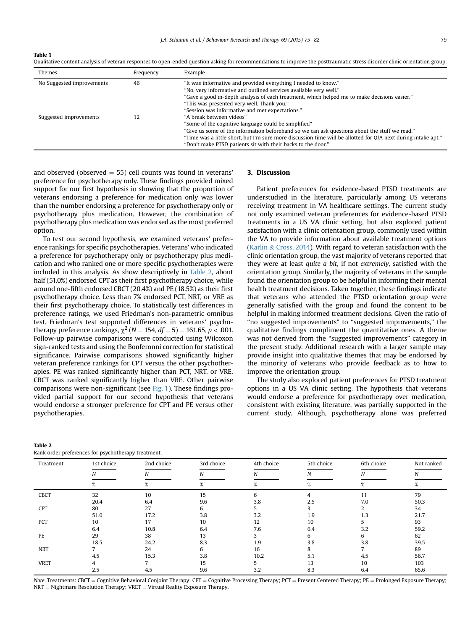<span id="page-4-0"></span>Table 1

Qualitative content analysis of veteran responses to open-ended question asking for recommendations to improve the posttraumatic stress disorder clinic orientation group.

| Themes                    | Frequency | Example                                                                                                                                                                                                                                                                                                                                                                                                                                                             |
|---------------------------|-----------|---------------------------------------------------------------------------------------------------------------------------------------------------------------------------------------------------------------------------------------------------------------------------------------------------------------------------------------------------------------------------------------------------------------------------------------------------------------------|
| No Suggested improvements | 46        | "It was informative and provided everything I needed to know."<br>"No, very informative and outlined services available very well."<br>"Gave a good in-depth analysis of each treatment, which helped me to make decisions easier."                                                                                                                                                                                                                                 |
| Suggested improvements    | 12        | "This was presented very well. Thank you."<br>"Session was informative and met expectations."<br>"A break between videos"<br>"Some of the cognitive language could be simplified"<br>"Give us some of the information beforehand so we can ask questions about the stuff we read."<br>"Time was a little short, but I'm sure more discussion time will be allotted for Q/A next during intake apt."<br>"Don't make PTSD patients sit with their backs to the door." |

and observed (observed  $=$  55) cell counts was found in veterans' preference for psychotherapy only. These findings provided mixed support for our first hypothesis in showing that the proportion of veterans endorsing a preference for medication only was lower than the number endorsing a preference for psychotherapy only or psychotherapy plus medication. However, the combination of psychotherapy plus medication was endorsed as the most preferred option.

To test our second hypothesis, we examined veterans' preference rankings for specific psychotherapies. Veterans' who indicated a preference for psychotherapy only or psychotherapy plus medication and who ranked one or more specific psychotherapies were included in this analysis. As show descriptively in Table 2, about half (51.0%) endorsed CPT as their first psychotherapy choice, while around one-fifth endorsed CBCT (20.4%) and PE (18.5%) as their first psychotherapy choice. Less than 7% endorsed PCT, NRT, or VRE as their first psychotherapy choice. To statistically test differences in preference ratings, we used Friedman's non-parametric omnibus test. Friedman's test supported differences in veterans' psychotherapy preference rankings,  $\chi^2$  (N = 154, df = 5) = 161.65, p < .001. Follow-up pairwise comparisons were conducted using Wilcoxon sign-ranked tests and using the Bonferonni correction for statistical significance. Pairwise comparisons showed significantly higher veteran preference rankings for CPT versus the other psychotherapies. PE was ranked significantly higher than PCT, NRT, or VRE. CBCT was ranked significantly higher than VRE. Other pairwise comparisons were non-significant (see [Fig. 1](#page-5-0)). These findings provided partial support for our second hypothesis that veterans would endorse a stronger preference for CPT and PE versus other psychotherapies.

| Table 2                                             |
|-----------------------------------------------------|
| Rank order preferences for psychotherapy treatment. |
|                                                     |

## 3. Discussion

Patient preferences for evidence-based PTSD treatments are understudied in the literature, particularly among US veterans receiving treatment in VA healthcare settings. The current study not only examined veteran preferences for evidence-based PTSD treatments in a US VA clinic setting, but also explored patient satisfaction with a clinic orientation group, commonly used within the VA to provide information about available treatment options ([Karlin](#page-6-0) & [Cross, 2014](#page-6-0)). With regard to veteran satisfaction with the clinic orientation group, the vast majority of veterans reported that they were at least quite a bit, if not extremely, satisfied with the orientation group. Similarly, the majority of veterans in the sample found the orientation group to be helpful in informing their mental health treatment decisions. Taken together, these findings indicate that veterans who attended the PTSD orientation group were generally satisfied with the group and found the content to be helpful in making informed treatment decisions. Given the ratio of "no suggested improvements" to "suggested improvements," the qualitative findings compliment the quantitative ones. A theme was not derived from the "suggested improvements" category in the present study. Additional research with a larger sample may provide insight into qualitative themes that may be endorsed by the minority of veterans who provide feedback as to how to improve the orientation group.

The study also explored patient preferences for PTSD treatment options in a US VA clinic setting. The hypothesis that veterans would endorse a preference for psychotherapy over medication, consistent with existing literature, was partially supported in the current study. Although, psychotherapy alone was preferred

| Treatment   | 1st choice<br>% | 2nd choice<br>N<br>$\%$ | 3rd choice<br>Ν<br>% | 4th choice<br>Ν<br>% | 5th choice<br>Ν<br>% | 6th choice<br>N<br>$\%$ | Not ranked<br>Ν<br>% |
|-------------|-----------------|-------------------------|----------------------|----------------------|----------------------|-------------------------|----------------------|
|             |                 |                         |                      |                      |                      |                         |                      |
| CBCT        |                 |                         |                      |                      |                      |                         |                      |
|             | 20.4            | 6.4                     | 9.6                  | 3.8                  | 2.5                  | 7.0                     | 50.3                 |
| CPT         | 80              | 27                      | 6                    |                      |                      |                         | 34                   |
|             | 51.0            | 17.2                    | 3.8                  | 3.2                  | 1.9                  | l.3                     | 21.7                 |
| PCT         | 10              | 17                      | 10                   | 12                   | 10                   |                         | 93                   |
|             | 6.4             | 10.8                    | 6.4                  | 7.6                  | 6.4                  | 3.2                     | 59.2                 |
| PE          | 29              | 38                      | 13                   |                      | 6                    |                         | 62                   |
|             | 18.5            | 24.2                    | 8.3                  | 1.9                  | 3.8                  | 3.8                     | 39.5                 |
| <b>NRT</b>  |                 | 24                      | 6                    | 16                   | 8                    |                         | 89                   |
|             | 4.5             | 15.3                    | 3.8                  | 10.2                 | 5.1                  | 4.5                     | 56.7                 |
| <b>VRET</b> |                 |                         | 15                   |                      | 13                   | 10                      | 103                  |
|             | 2.5             | 4.5                     | 9.6                  | 3.2                  | 8.3                  | 6.4                     | 65.6                 |

Note. Treatments: CBCT = Cognitive Behavioral Conjoint Therapy; CPT = Cognitive Processing Therapy; PCT = Present Centered Therapy; PE = Prolonged Exposure Therapy;  $NRT =$  Nightmare Resolution Therapy; VRET = Virtual Reality Exposure Therapy.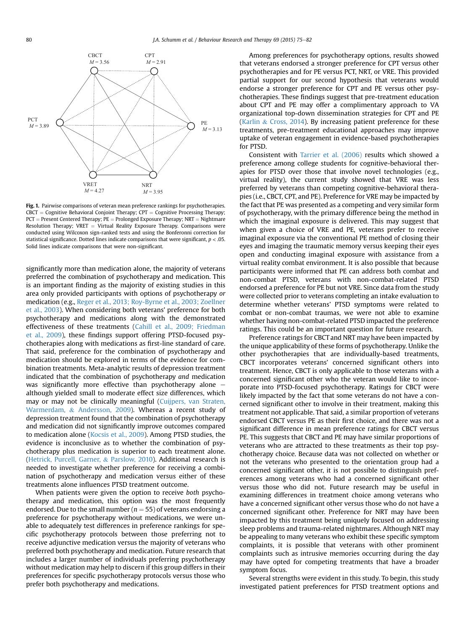<span id="page-5-0"></span>

Fig. 1. Pairwise comparisons of veteran mean preference rankings for psychotherapies.  $CBCT = Cognitive$  Behavioral Conjoint Therapy;  $CPT = Cognitive$  Processing Therapy;  $PCT = Present$  Centered Therapy;  $PE =$  Prolonged Exposure Therapy; NRT = Nightmare Resolution Therapy;  $VRET = Virtual$  Reality Exposure Therapy. Comparisons were conducted using Wilcoxon sign-ranked tests and using the Bonferonni correction for statistical significance. Dotted lines indicate comparisons that were significant,  $p < .05$ . Solid lines indicate comparisons that were non-significant.

significantly more than medication alone, the majority of veterans preferred the combination of psychotherapy and medication. This is an important finding as the majority of existing studies in this area only provided participants with options of psychotherapy or medication (e.g., [Reger et al., 2013; Roy-Byrne et al., 2003; Zoellner](#page-7-0) [et al., 2003\)](#page-7-0). When considering both veterans' preference for both psychotherapy and medications along with the demonstrated effectiveness of these treatments [\(Cahill et al., 2009; Friedman](#page-6-0) [et al., 2009\)](#page-6-0), these findings support offering PTSD-focused psychotherapies along with medications as first-line standard of care. That said, preference for the combination of psychotherapy and medication should be explored in terms of the evidence for combination treatments. Meta-analytic results of depression treatment indicated that the combination of psychotherapy and medication was significantly more effective than psychotherapy alone although yielded small to moderate effect size differences, which may or may not be clinically meaningful [\(Cuijpers, van Straten,](#page-6-0) [Warmerdam,](#page-6-0) & [Andersson, 2009\)](#page-6-0). Whereas a recent study of depression treatment found that the combination of psychotherapy and medication did not significantly improve outcomes compared to medication alone ([Kocsis et al., 2009\)](#page-6-0). Among PTSD studies, the evidence is inconclusive as to whether the combination of psychotherapy plus medication is superior to each treatment alone. ([Hetrick, Purcell, Garner,](#page-6-0) & [Parslow, 2010](#page-6-0)). Additional research is needed to investigate whether preference for receiving a combination of psychotherapy and medication versus either of these treatments alone influences PTSD treatment outcome.

When patients were given the option to receive both psychotherapy and medication, this option was the most frequently endorsed. Due to the small number ( $n = 55$ ) of veterans endorsing a preference for psychotherapy without medications, we were unable to adequately test differences in preference rankings for specific psychotherapy protocols between those preferring not to receive adjunctive medication versus the majority of veterans who preferred both psychotherapy and medication. Future research that includes a larger number of individuals preferring psychotherapy without medication may help to discern if this group differs in their preferences for specific psychotherapy protocols versus those who prefer both psychotherapy and medications.

Among preferences for psychotherapy options, results showed that veterans endorsed a stronger preference for CPT versus other psychotherapies and for PE versus PCT, NRT, or VRE. This provided partial support for our second hypothesis that veterans would endorse a stronger preference for CPT and PE versus other psychotherapies. These findings suggest that pre-treatment education about CPT and PE may offer a complimentary approach to VA organizational top-down dissemination strategies for CPT and PE ([Karlin](#page-6-0)  $& Cross, 2014$  $& Cross, 2014$ ). By increasing patient preference for these treatments, pre-treatment educational approaches may improve uptake of veteran engagement in evidence-based psychotherapies for PTSD.

Consistent with [Tarrier et al. \(2006\)](#page-7-0) results which showed a preference among college students for cognitive-behavioral therapies for PTSD over those that involve novel technologies (e.g., virtual reality), the current study showed that VRE was less preferred by veterans than competing cognitive-behavioral therapies (i.e., CBCT, CPT, and PE). Preference for VRE may be impacted by the fact that PE was presented as a competing and very similar form of psychotherapy, with the primary difference being the method in which the imaginal exposure is delivered. This may suggest that when given a choice of VRE and PE, veterans prefer to receive imaginal exposure via the conventional PE method of closing their eyes and imaging the traumatic memory versus keeping their eyes open and conducting imaginal exposure with assistance from a virtual reality combat environment. It is also possible that because participants were informed that PE can address both combat and non-combat PTSD, veterans with non-combat-related PTSD endorsed a preference for PE but not VRE. Since data from the study were collected prior to veterans completing an intake evaluation to determine whether veterans' PTSD symptoms were related to combat or non-combat traumas, we were not able to examine whether having non-combat-related PTSD impacted the preference ratings. This could be an important question for future research.

Preference ratings for CBCT and NRT may have been impacted by the unique applicability of these forms of psychotherapy. Unlike the other psychotherapies that are individually-based treatments, CBCT incorporates veterans' concerned significant others into treatment. Hence, CBCT is only applicable to those veterans with a concerned significant other who the veteran would like to incorporate into PTSD-focused psychotherapy. Ratings for CBCT were likely impacted by the fact that some veterans do not have a concerned significant other to involve in their treatment, making this treatment not applicable. That said, a similar proportion of veterans endorsed CBCT versus PE as their first choice, and there was not a significant difference in mean preference ratings for CBCT versus PE. This suggests that CBCT and PE may have similar proportions of veterans who are attracted to these treatments as their top psychotherapy choice. Because data was not collected on whether or not the veterans who presented to the orientation group had a concerned significant other, it is not possible to distinguish preferences among veterans who had a concerned significant other versus those who did not. Future research may be useful in examining differences in treatment choice among veterans who have a concerned significant other versus those who do not have a concerned significant other. Preference for NRT may have been impacted by this treatment being uniquely focused on addressing sleep problems and trauma-related nightmares. Although NRT may be appealing to many veterans who exhibit these specific symptom complaints, it is possible that veterans with other prominent complaints such as intrusive memories occurring during the day may have opted for competing treatments that have a broader symptom focus.

Several strengths were evident in this study. To begin, this study investigated patient preferences for PTSD treatment options and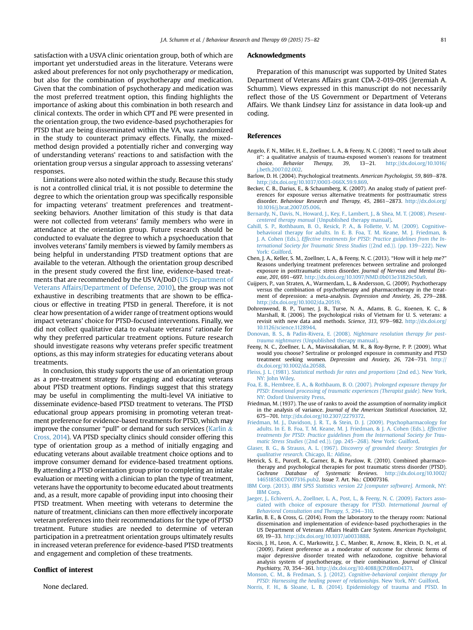<span id="page-6-0"></span>satisfaction with a USVA clinic orientation group, both of which are important yet understudied areas in the literature. Veterans were asked about preferences for not only psychotherapy or medication, but also for the combination of psychotherapy and medication. Given that the combination of psychotherapy and medication was the most preferred treatment option, this finding highlights the importance of asking about this combination in both research and clinical contexts. The order in which CPT and PE were presented in the orientation group, the two evidence-based psychotherapies for PTSD that are being disseminated within the VA, was randomized in the study to counteract primacy effects. Finally, the mixedmethod design provided a potentially richer and converging way of understanding veterans' reactions to and satisfaction with the orientation group versus a singular approach to assessing veterans' responses.

Limitations were also noted within the study. Because this study is not a controlled clinical trial, it is not possible to determine the degree to which the orientation group was specifically responsible for impacting veterans' treatment preferences and treatmentseeking behaviors. Another limitation of this study is that data were not collected from veterans' family members who were in attendance at the orientation group. Future research should be conducted to evaluate the degree to which a psychoeducation that involves veterans' family members is viewed by family members as being helpful in understanding PTSD treatment options that are available to the veteran. Although the orientation group described in the present study covered the first line, evidence-based treatments that are recommended by the US VA/DoD ([US Department of](#page-7-0) [Veterans Affairs/Department of Defense, 2010](#page-7-0)), the group was not exhaustive in describing treatments that are shown to be efficacious or effective in treating PTSD in general. Therefore, it is not clear how presentation of a wider range of treatment options would impact veterans' choice for PTSD-focused interventions. Finally, we did not collect qualitative data to evaluate veterans' rationale for why they preferred particular treatment options. Future research should investigate reasons why veterans prefer specific treatment options, as this may inform strategies for educating veterans about treatments.

In conclusion, this study supports the use of an orientation group as a pre-treatment strategy for engaging and educating veterans about PTSD treatment options. Findings suggest that this strategy may be useful in complimenting the multi-level VA initiative to disseminate evidence-based PTSD treatment to veterans. The PTSD educational group appears promising in promoting veteran treatment preference for evidence-based treatments for PTSD, which may improve the consumer "pull" or demand for such services (Karlin  $\&$ Cross, 2014). VA PTSD specialty clinics should consider offering this type of orientation group as a method of initially engaging and educating veterans about available treatment choice options and to improve consumer demand for evidence-based treatment options. By attending a PTSD orientation group prior to completing an intake evaluation or meeting with a clinician to plan the type of treatment, veterans have the opportunity to become educated about treatments and, as a result, more capable of providing input into choosing their PTSD treatment. When meeting with veterans to determine the nature of treatment, clinicians can then more effectively incorporate veteran preferences into their recommendations for the type of PTSD treatment. Future studies are needed to determine of veteran participation in a pretreatment orientation groups ultimately results in increased veteran preference for evidence-based PTSD treatments and engagement and completion of these treatments.

## Conflict of interest

None declared.

#### Acknowledgments

Preparation of this manuscript was supported by United States Department of Veterans Affairs grant CDA-2-019-09S (Jeremiah A. Schumm). Views expressed in this manuscript do not necessarily reflect those of the US Government or Department of Veterans Affairs. We thank Lindsey Linz for assistance in data look-up and coding.

#### References

- Angelo, F. N., Miller, H. E., Zoellner, L. A., & Feeny, N. C. (2008). "I need to talk about it": a qualitative analysis of trauma-exposed women's reasons for treatment choice. Behavior Therapy,  $39, 13-21$ . http://dx.doi.org/10.1016/  $htto://dx.doi.org/10.1016$ [j.beth.2007.02.002](http://dx.doi.org/10.1016/j.beth.2007.02.002).
- Barlow, D. H. (2004). Psychological treatments. American Psychologist, 59, 869-878. <http://dx.doi.org/10.1037/0003-066X.59.9.869>.
- Becker, C. B., Darius, E., & Schaumberg, K. (2007). An analog study of patient preferences for exposure versus alternative treatments for posttraumatic stress disorder. Behaviour Research and Therapy, 45, 2861-2873. [http://dx.doi.org/](http://dx.doi.org/10.1016/j.brat.2007.05.006) [10.1016/j.brat.2007.05.006](http://dx.doi.org/10.1016/j.brat.2007.05.006).
- [Bernardy, N., Davis, N., Howard, J., Key, F., Lambert, J., & Shea, M. T. \(2008\).](http://refhub.elsevier.com/S0005-7967(15)00064-9/sref4) Presentcentered therapy manual [\(Unpublished therapy manual\).](http://refhub.elsevier.com/S0005-7967(15)00064-9/sref4)
- [Cahill, S. P., Rothbaum, B. O., Resick, P. A., & Follette, V. M. \(2009\). Cognitive](http://refhub.elsevier.com/S0005-7967(15)00064-9/sref5)[behavioral therapy for adults. In E. B. Foa, T. M. Keane, M. J. Friedman, &](http://refhub.elsevier.com/S0005-7967(15)00064-9/sref5) J. A. Cohen (Eds.), [Effective treatments for PTSD: Practice guidelines from the In](http://refhub.elsevier.com/S0005-7967(15)00064-9/sref5)[ternational Society for Traumatic Stress Studies](http://refhub.elsevier.com/S0005-7967(15)00064-9/sref5) ((2nd ed.)). (pp. 139-[222\). New](http://refhub.elsevier.com/S0005-7967(15)00064-9/sref5) [York: Guilford](http://refhub.elsevier.com/S0005-7967(15)00064-9/sref5).
- Chen, J. A., Keller, S. M., Zoellner, L. A., & Feeny, N. C. (2013). "How will it help me?" Reasons underlying treatment preferences between sertraline and prolonged exposure in posttraumatic stress disorder. Journal of Nervous and Mental Disease, 201, 691-697. <http://dx.doi.org/10.1097/NMD.0b013e31829c50a9>.
- Cuijpers, P., van Straten, A., Warmerdam, L., & Andersson, G. (2009). Psychotherapy versus the combination of psychotherapy and pharmacotherapy in the treatment of depression: a meta-analysis. Depression and Anxiety, 26, 279-288. <http://dx.doi.org/10.1002/da.20519>.
- Dohrenwend, B. P., Turner, J. B., Turse, N. A., Adams, B. G., Koenen, K. C., & Marshall, R. (2006). The psychological risks of Vietnam for U. S. veterans: a revisit with new data and methods. Science, 313, 979-982. [http://dx.doi.org/](http://dx.doi.org/10.1126/science.1128944) [10.1126/science.1128944.](http://dx.doi.org/10.1126/science.1128944)
- [Donovan, B. S., & Padin-Rivera, E. \(2008\).](http://refhub.elsevier.com/S0005-7967(15)00064-9/sref9) Nightmare resolution therapy for posttrauma nightmares [\(Unpublished therapy manual\)](http://refhub.elsevier.com/S0005-7967(15)00064-9/sref9).
- Feeny, N. C., Zoellner, L. A., Mavissakalian, M. R., & Roy-Byrne, P. P. (2009). What would you choose? Sertraline or prolonged exposure in community and PTSD treatment seeking women. Depression and Anxiety, 26, 724-731. [http://](http://dx.doi.org/10.1002/da.20588) [dx.doi.org/10.1002/da.20588](http://dx.doi.org/10.1002/da.20588).
- Fleiss, J. L. (1981). [Statistical methods for rates and proportions](http://refhub.elsevier.com/S0005-7967(15)00064-9/sref11) (2nd ed.). New York, [NY: John Wiley.](http://refhub.elsevier.com/S0005-7967(15)00064-9/sref11)
- [Foa, E. B., Hembree, E. A., & Rothbaum, B. O. \(2007\).](http://refhub.elsevier.com/S0005-7967(15)00064-9/sref12) Prolonged exposure therapy for [PTSD: Emotional processing of traumatic experiences \(Therapist guide\)](http://refhub.elsevier.com/S0005-7967(15)00064-9/sref12). New York, [NY: Oxford University Press](http://refhub.elsevier.com/S0005-7967(15)00064-9/sref12).
- Friedman, M. (1937). The use of ranks to avoid the assumption of normality implicit in the analysis of variance. Journal of the American Statistical Association, 32, 675e701. <http://dx.doi.org/10.2307/2279372>.
- [Friedman, M. J., Davidson, J. R. T., & Stein, D. J. \(2009\). Psychopharmacology for](http://refhub.elsevier.com/S0005-7967(15)00064-9/sref14) [adults. In E. B. Foa, T. M. Keane, M. J. Friedman, & J. A. Cohen \(Eds.\),](http://refhub.elsevier.com/S0005-7967(15)00064-9/sref14) Effective [treatments for PTSD: Practice guidelines from the International Society for Trau-](http://refhub.elsevier.com/S0005-7967(15)00064-9/sref14)matic Stress Studies [\(\(2nd ed.\)\). \(pp. 245](http://refhub.elsevier.com/S0005-7967(15)00064-9/sref14)-[268\). New York: Guilford.](http://refhub.elsevier.com/S0005-7967(15)00064-9/sref14)
- Glaser, B. G., & Strauss, A. L. (1967). [Discovery of grounded theory: Strategies for](http://refhub.elsevier.com/S0005-7967(15)00064-9/sref15) qualitative research[. Chicago, IL: Aldine](http://refhub.elsevier.com/S0005-7967(15)00064-9/sref15).
- Hetrick, S. E., Purcell, R., Garner, B., & Parslow, R. (2010). Combined pharmacotherapy and psychological therapies for post traumatic stress disorder (PTSD).<br>Cochrane Database of Systematic Reviews. [http://dx.doi.org/10.1002/](http://dx.doi.org/10.1002/14651858.CD007316.pub2) [14651858.CD007316.pub2.](http://dx.doi.org/10.1002/14651858.CD007316.pub2) Issue 7. Art. No.: CD007316.
- IBM Corp. (2013). [IBM SPSS Statistics version 22 \[computer software\]](http://refhub.elsevier.com/S0005-7967(15)00064-9/sref17). Armonk, NY: [IBM Corp](http://refhub.elsevier.com/S0005-7967(15)00064-9/sref17).
- [Jaeger, J., Echiverri, A., Zoellner, L. A., Post, L., & Feeny, N. C. \(2009\). Factors asso](http://refhub.elsevier.com/S0005-7967(15)00064-9/sref18)[ciated with choice of exposure therapy for PTSD.](http://refhub.elsevier.com/S0005-7967(15)00064-9/sref18) International Journal of [Behavioral Consultation and Therapy, 5](http://refhub.elsevier.com/S0005-7967(15)00064-9/sref18), 294-[310.](http://refhub.elsevier.com/S0005-7967(15)00064-9/sref18)
- Karlin, B. E., & Cross, G. (2014). From the laboratory to the therapy room: National dissemination and implementation of evidence-based psychotherapies in the US Department of Veterans Affairs Health Care System. American Psychologist, 69, 19-33. [http://dx.doi.org/10.1037/a0033888.](http://dx.doi.org/10.1037/a0033888)
- Kocsis, J. H., Leon, A. C., Markowitz, J. C., Manber, R., Arnow, B., Klein, D. N., et al. (2009). Patient preference as a moderator of outcome for chronic forms of major depressive disorder treated with nefazodone, cognitive behavioral analysis system of psychotherapy, or their combination. Journal of Clinical Psychiatry, 70, 354-361. [http://dx.doi.org/10.4088/JCP.08m04371.](http://dx.doi.org/10.4088/JCP.08m04371)
- [Monson, C. M., & Fredman, S. J. \(2012\).](http://refhub.elsevier.com/S0005-7967(15)00064-9/sref21) Cognitive-behavioral conjoint therapy for [PTSD: Harnessing the healing power of relationships](http://refhub.elsevier.com/S0005-7967(15)00064-9/sref21). New York, NY: Guilford.
- [Norris, F. H., & Sloane, L. B. \(2014\). Epidemiology of trauma and PTSD. In](http://refhub.elsevier.com/S0005-7967(15)00064-9/sref22)